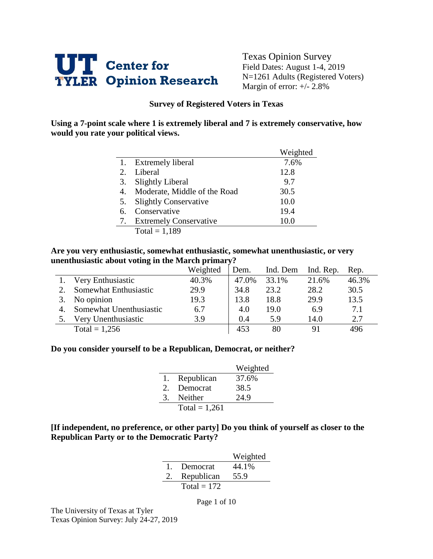

Texas Opinion Survey Field Dates: August 1-4, 2019 N=1261 Adults (Registered Voters) Margin of error: +/- 2.8%

#### **Survey of Registered Voters in Texas**

**Using a 7-point scale where 1 is extremely liberal and 7 is extremely conservative, how would you rate your political views.** 

|    |                               | Weighted |
|----|-------------------------------|----------|
|    | <b>Extremely liberal</b>      | 7.6%     |
| 2. | Liberal                       | 12.8     |
| 3. | Slightly Liberal              | 9.7      |
| 4. | Moderate, Middle of the Road  | 30.5     |
| 5. | <b>Slightly Conservative</b>  | 10.0     |
| 6. | Conservative                  | 19.4     |
| 7. | <b>Extremely Conservative</b> | 10.0     |
|    | $Total = 1.189$               |          |

 $Total = 1,189$ 

#### **Are you very enthusiastic, somewhat enthusiastic, somewhat unenthusiastic, or very unenthusiastic about voting in the March primary?**

|    |                         | Weighted | Dem.  | Ind. Dem | Ind. Rep. | Rep.  |
|----|-------------------------|----------|-------|----------|-----------|-------|
|    | Very Enthusiastic       | 40.3%    | 47.0% | 33.1%    | 21.6%     | 46.3% |
|    | Somewhat Enthusiastic   | 29.9     | 34.8  | 23.2     | 28.2      | 30.5  |
|    | No opinion              | 19.3     | 13.8  | 18.8     | 29.9      | 13.5  |
| 4. | Somewhat Unenthusiastic | 6.7      | 4.0   | 19.0     | 6.9       | 7.1   |
|    | Very Unenthusiastic     | 3.9      | 0.4   | 5.9      | 14.0      | 2.7   |
|    | Total = $1,256$         |          | 453   | 80       | 91        | 496   |

#### **Do you consider yourself to be a Republican, Democrat, or neither?**

|               |                 | Weighted |
|---------------|-----------------|----------|
| 1.            | Republican      | 37.6%    |
| $\mathcal{D}$ | Democrat        | 38.5     |
| 3             | Neither         | 24.9     |
|               | Total = $1,261$ |          |

#### **[If independent, no preference, or other party] Do you think of yourself as closer to the Republican Party or to the Democratic Party?**

|              |               | Weighted |
|--------------|---------------|----------|
| $\mathbf{1}$ | Democrat      | 44.1%    |
| 2.           | Republican    | 55.9     |
|              | Total = $172$ |          |

Page 1 of 10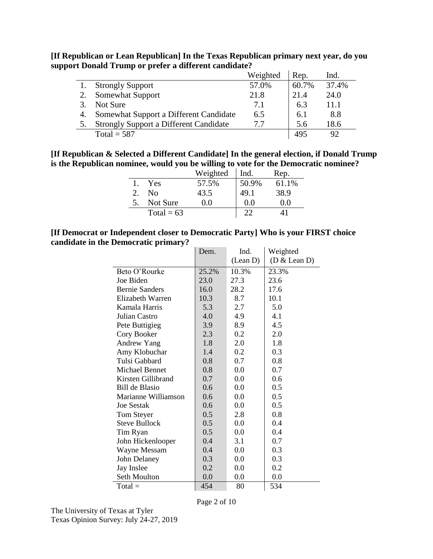**[If Republican or Lean Republican] In the Texas Republican primary next year, do you support Donald Trump or prefer a different candidate?**

|                                               | Weighted | Rep.  | Ind.  |
|-----------------------------------------------|----------|-------|-------|
| <b>Strongly Support</b>                       | 57.0%    | 60.7% | 37.4% |
| <b>Somewhat Support</b>                       | 21.8     | 21.4  | 24.0  |
| Not Sure                                      | 7.1      | 6.3   | 11.1  |
| Somewhat Support a Different Candidate        | 6.5      | 6.1   | 8.8   |
| <b>Strongly Support a Different Candidate</b> | 7.7      | 5.6   | 18.6  |
| Total = $587$                                 |          | 495   |       |

**[If Republican & Selected a Different Candidate] In the general election, if Donald Trump is the Republican nominee, would you be willing to vote for the Democratic nominee?**

|              | Weighted | Ind.    | Rep.  |
|--------------|----------|---------|-------|
| Yes          | 57.5%    | 50.9%   | 61.1% |
| Nο           | 43.5     | 49.1    | 38.9  |
| Not Sure     | $0.0\,$  | $0.0\,$ | 0.0   |
| Total = $63$ |          |         |       |

#### **[If Democrat or Independent closer to Democratic Party] Who is your FIRST choice candidate in the Democratic primary?**

|                       | Dem.  | Ind.     | Weighted     |
|-----------------------|-------|----------|--------------|
|                       |       | (Lean D) | (D & Lean D) |
| Beto O'Rourke         | 25.2% | 10.3%    | 23.3%        |
| Joe Biden             | 23.0  | 27.3     | 23.6         |
| <b>Bernie Sanders</b> | 16.0  | 28.2     | 17.6         |
| Elizabeth Warren      | 10.3  | 8.7      | 10.1         |
| Kamala Harris         | 5.3   | 2.7      | 5.0          |
| Julian Castro         | 4.0   | 4.9      | 4.1          |
| Pete Buttigieg        | 3.9   | 8.9      | 4.5          |
| Cory Booker           | 2.3   | 0.2      | 2.0          |
| <b>Andrew Yang</b>    | 1.8   | 2.0      | 1.8          |
| Amy Klobuchar         | 1.4   | 0.2      | 0.3          |
| Tulsi Gabbard         | 0.8   | 0.7      | 0.8          |
| Michael Bennet        | 0.8   | 0.0      | 0.7          |
| Kirsten Gillibrand    | 0.7   | 0.0      | 0.6          |
| Bill de Blasio        | 0.6   | 0.0      | 0.5          |
| Marianne Williamson   | 0.6   | 0.0      | 0.5          |
| <b>Joe Sestak</b>     | 0.6   | 0.0      | 0.5          |
| Tom Steyer            | 0.5   | 2.8      | 0.8          |
| <b>Steve Bullock</b>  | 0.5   | 0.0      | 0.4          |
| Tim Ryan              | 0.5   | 0.0      | 0.4          |
| John Hickenlooper     | 0.4   | 3.1      | 0.7          |
| Wayne Messam          | 0.4   | 0.0      | 0.3          |
| John Delaney          | 0.3   | 0.0      | 0.3          |
| Jay Inslee            | 0.2   | 0.0      | 0.2          |
| Seth Moulton          | 0.0   | 0.0      | 0.0          |
| $Total =$             | 454   | 80       | 534          |

Page 2 of 10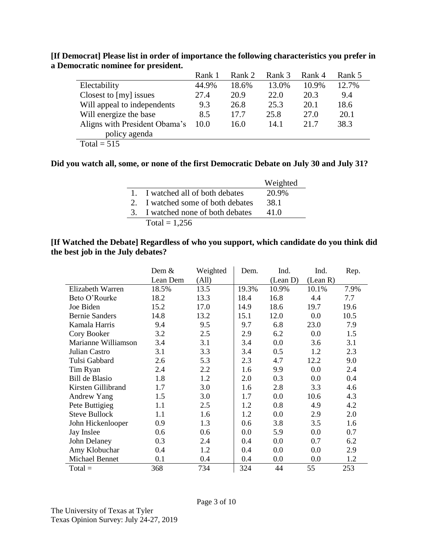|                               | Rank 1 | Rank 2 | Rank 3 | Rank 4 | Rank 5 |
|-------------------------------|--------|--------|--------|--------|--------|
| Electability                  | 44.9%  | 18.6%  | 13.0%  | 10.9%  | 12.7%  |
| Closest to [my] issues        | 27.4   | 20.9   | 22.0   | 20.3   | 9.4    |
| Will appeal to independents   | 9.3    | 26.8   | 25.3   | 20.1   | 18.6   |
| Will energize the base        | 8.5    | 17.7   | 25.8   | 27.0   | 20.1   |
| Aligns with President Obama's | 10.0   | 16.0   | 14.1   | 21.7   | 38.3   |
| policy agenda                 |        |        |        |        |        |
| Total = $515$                 |        |        |        |        |        |

**[If Democrat] Please list in order of importance the following characteristics you prefer in a Democratic nominee for president.**

### **Did you watch all, some, or none of the first Democratic Debate on July 30 and July 31?**

|                                   | Weighted |
|-----------------------------------|----------|
| 1. I watched all of both debates  | 20.9%    |
| 2. I watched some of both debates | 38.1     |
| 3. I watched none of both debates | 41.0     |
| Total = $1,256$                   |          |

### **[If Watched the Debate] Regardless of who you support, which candidate do you think did the best job in the July debates?**

|                       | Dem $\&$ | Weighted | Dem.    | Ind.     | Ind.     | Rep. |
|-----------------------|----------|----------|---------|----------|----------|------|
|                       | Lean Dem | (All)    |         | (Lean D) | (Lean R) |      |
| Elizabeth Warren      | 18.5%    | 13.5     | 19.3%   | 10.9%    | 10.1%    | 7.9% |
| Beto O'Rourke         | 18.2     | 13.3     | 18.4    | 16.8     | 4.4      | 7.7  |
| Joe Biden             | 15.2     | 17.0     | 14.9    | 18.6     | 19.7     | 19.6 |
| <b>Bernie Sanders</b> | 14.8     | 13.2     | 15.1    | 12.0     | 0.0      | 10.5 |
| Kamala Harris         | 9.4      | 9.5      | 9.7     | 6.8      | 23.0     | 7.9  |
| Cory Booker           | 3.2      | 2.5      | 2.9     | 6.2      | 0.0      | 1.5  |
| Marianne Williamson   | 3.4      | 3.1      | 3.4     | 0.0      | 3.6      | 3.1  |
| Julian Castro         | 3.1      | 3.3      | 3.4     | 0.5      | 1.2      | 2.3  |
| Tulsi Gabbard         | 2.6      | 5.3      | 2.3     | 4.7      | 12.2     | 9.0  |
| Tim Ryan              | 2.4      | 2.2      | 1.6     | 9.9      | 0.0      | 2.4  |
| <b>Bill de Blasio</b> | 1.8      | 1.2      | 2.0     | 0.3      | 0.0      | 0.4  |
| Kirsten Gillibrand    | 1.7      | 3.0      | 1.6     | 2.8      | 3.3      | 4.6  |
| <b>Andrew Yang</b>    | 1.5      | 3.0      | 1.7     | 0.0      | 10.6     | 4.3  |
| Pete Buttigieg        | 1.1      | 2.5      | 1.2     | 0.8      | 4.9      | 4.2  |
| <b>Steve Bullock</b>  | 1.1      | 1.6      | 1.2     | 0.0      | 2.9      | 2.0  |
| John Hickenlooper     | 0.9      | 1.3      | 0.6     | 3.8      | 3.5      | 1.6  |
| Jay Inslee            | 0.6      | 0.6      | $0.0\,$ | 5.9      | 0.0      | 0.7  |
| John Delaney          | 0.3      | 2.4      | 0.4     | 0.0      | 0.7      | 6.2  |
| Amy Klobuchar         | 0.4      | 1.2      | 0.4     | 0.0      | 0.0      | 2.9  |
| Michael Bennet        | 0.1      | 0.4      | 0.4     | 0.0      | 0.0      | 1.2  |
| $Total =$             | 368      | 734      | 324     | 44       | 55       | 253  |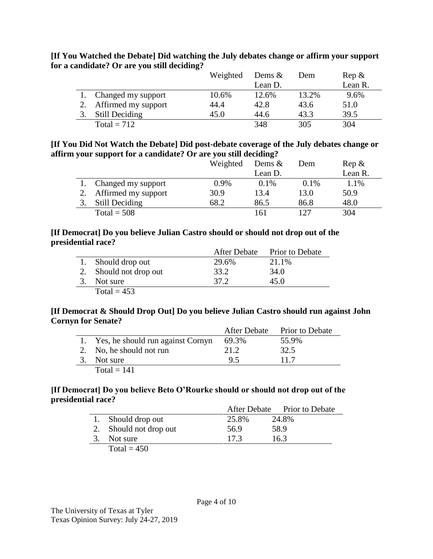|                       | Weighted | Dems $\&$ | Dem   | $\text{Rep } \&$ |
|-----------------------|----------|-----------|-------|------------------|
|                       |          | Lean D.   |       | Lean R.          |
| 1. Changed my support | 10.6%    | 12.6%     | 13.2% | 9.6%             |
| Affirmed my support   | 44.4     | 42.8      | 43.6  | 51.0             |
| Still Deciding        | 45.0     | 44.6      | 43.3  | 39.5             |
| Total = $712$         |          | 348       | 305   | 304              |

**[If You Watched the Debate] Did watching the July debates change or affirm your support for a candidate? Or are you still deciding?** 

### **[If You Did Not Watch the Debate] Did post-debate coverage of the July debates change or affirm your support for a candidate? Or are you still deciding?**

|                        | Weighted | Dems $\&$ | Dem  | $\text{Rep } \&$ |
|------------------------|----------|-----------|------|------------------|
|                        |          | Lean D.   |      | Lean R.          |
| Changed my support     | 0.9%     | 0.1%      | 0.1% | 1.1%             |
| 2. Affirmed my support | 30.9     | 13.4      | 13.0 | 50.9             |
| Still Deciding         | 68.2     | 86.5      | 86.8 | 48.0             |
| Total = $508$          |          | 161       | 127  | 304              |

### **[If Democrat] Do you believe Julian Castro should or should not drop out of the presidential race?**

|                        | After Debate | Prior to Debate |
|------------------------|--------------|-----------------|
| 1. Should drop out     | 29.6%        | 21.1%           |
| 2. Should not drop out | 33.2         | 34.0            |
| Not sure               | 37.2         | 45.0            |
| Total = $453$          |              |                 |

### **[If Democrat & Should Drop Out] Do you believe Julian Castro should run against John Cornyn for Senate?**

|    |                                      | After Debate | <b>Prior to Debate</b> |
|----|--------------------------------------|--------------|------------------------|
|    | 1. Yes, he should run against Cornyn | 69.3%        | 55.9%                  |
|    | 2. No, he should not run             | 21.2         | 32.5                   |
| 3. | Not sure                             | 95           | 11.7                   |
|    | Total $= 141$                        |              |                        |

### **[If Democrat] Do you believe Beto O'Rourke should or should not drop out of the presidential race?**

|                        |       | After Debate Prior to Debate |
|------------------------|-------|------------------------------|
| 1. Should drop out     | 25.8% | 24.8%                        |
| 2. Should not drop out | 56.9  | 58.9                         |
| 3. Not sure            | 17.3  | 16.3                         |
| Total = $450$          |       |                              |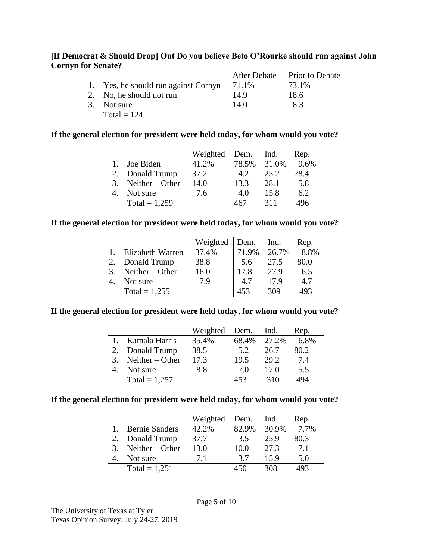### **[If Democrat & Should Drop] Out Do you believe Beto O'Rourke should run against John Cornyn for Senate?**

|    |                                      |       | After Debate Prior to Debate |  |
|----|--------------------------------------|-------|------------------------------|--|
|    | 1. Yes, he should run against Cornyn | 71.1% | 73.1%                        |  |
|    | 2. No, he should not run             | 14.9  | 18.6                         |  |
| 3. | Not sure                             | 14.0  | 83                           |  |
|    | Total = $124$                        |       |                              |  |

### **If the general election for president were held today, for whom would you vote?**

|                      | Weighted Dem. Ind. |             |      | Rep. |
|----------------------|--------------------|-------------|------|------|
| Joe Biden            | 41.2%              | 78.5% 31.0% |      | 9.6% |
| 2. Donald Trump      | 37.2               | 4.2         | 25.2 | 78.4 |
| 3. Neither $-$ Other | 14.0               | 13.3        | 28.1 | 5.8  |
| Not sure             | 7.6                | 4.0         | 15.8 | 6.2  |
| Total = $1,259$      |                    |             | 311  |      |

#### **If the general election for president were held today, for whom would you vote?**

|    |                      | Weighted | Dem. Ind. |       | Rep. |
|----|----------------------|----------|-----------|-------|------|
|    | Elizabeth Warren     | 37.4%    | 71.9%     | 26.7% | 8.8% |
| 2. | Donald Trump         | 38.8     | 5.6       | 27.5  | 80.0 |
|    | 3. Neither $-$ Other | 16.0     | 17.8      | 27.9  | 6.5  |
|    | Not sure             | 79       | 4.7       | 179   | 4.7  |
|    | Total = $1,255$      |          | 453       | 309   | .93  |

#### **If the general election for president were held today, for whom would you vote?**

|    |                      | Weighted $\vert$ Dem. |             | Ind. | Rep. |
|----|----------------------|-----------------------|-------------|------|------|
|    | Kamala Harris        | 35.4%                 | 68.4% 27.2% |      | 6.8% |
| 2. | Donald Trump         | 38.5                  | 5.2         | 26.7 | 80.2 |
|    | 3. Neither $-$ Other | 17.3                  | 19.5        | 29.2 | 7.4  |
|    | Not sure             | 8.8                   | 7.0         | 17.0 | 5.5  |
|    | Total = $1,257$      |                       | 453         | 310  | 494  |

### **If the general election for president were held today, for whom would you vote?**

|    |                       | Weighted | Dem. Ind. |       | Rep. |
|----|-----------------------|----------|-----------|-------|------|
|    | <b>Bernie Sanders</b> | 42.2%    | 82.9%     | 30.9% | 7.7% |
| 2. | Donald Trump          | 37.7     | 3.5       | 25.9  | 80.3 |
| 3. | Neither $-$ Other     | 13.0     | 10.0      | 27.3  | 7.1  |
|    | Not sure              | 71       | 37        | 15.9  | 5.0  |
|    | Total = $1,251$       |          |           | 308   | 493  |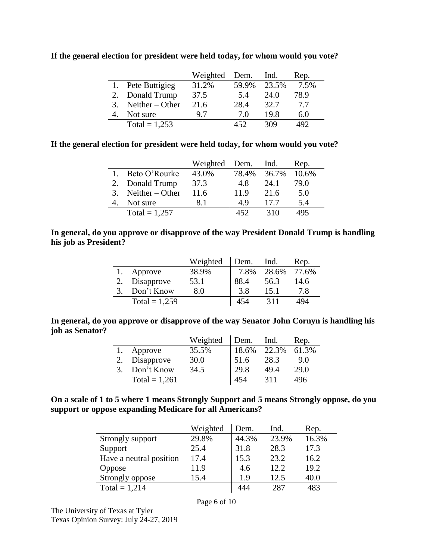**If the general election for president were held today, for whom would you vote?**

|    |                   | Weighted | Dem.  | Ind.  | Rep. |
|----|-------------------|----------|-------|-------|------|
|    | Pete Buttigieg    | 31.2%    | 59.9% | 23.5% | 7.5% |
| 2. | Donald Trump      | 37.5     | 5.4   | 24.0  | 78.9 |
| 3. | Neither $-$ Other | 21.6     | 28.4  | 32.7  | 7.7  |
|    | Not sure          | 97       | 7.0   | 19.8  | 6.0  |
|    | Total = $1,253$   |          | 452   | 309   | 492  |

### **If the general election for president were held today, for whom would you vote?**

|                      | Weighted | Dem.  | Ind.  | Rep.  |
|----------------------|----------|-------|-------|-------|
| Beto O'Rourke        | 43.0%    | 78.4% | 36.7% | 10.6% |
| 2. Donald Trump      | 37.3     | 4.8   | 24.1  | 79.0  |
| 3. Neither $-$ Other | 11.6     | 11.9  | 21.6  | 5.0   |
| Not sure             | 81       | 4.9   | 177   | 5.4   |
| Total = $1,257$      |          |       | 310   | 495   |

### **In general, do you approve or disapprove of the way President Donald Trump is handling his job as President?**

|                 | Weighted | Dem. | Ind.  | Rep.  |
|-----------------|----------|------|-------|-------|
| Approve         | 38.9%    | 7.8% | 28.6% | 77.6% |
| Disapprove      | 53.1     | 88.4 | 56.3  | 14.6  |
| Don't Know      | 8.0      | 3.8  | 15.1  | 7.8   |
| Total = $1,259$ |          | 454  | 311   | 494   |

**In general, do you approve or disapprove of the way Senator John Cornyn is handling his job as Senator?**

|                 | Weighted | Dem.  | Ind.  | Rep.  |
|-----------------|----------|-------|-------|-------|
| Approve         | 35.5%    | 18.6% | 22.3% | 61.3% |
| Disapprove      | 30.0     | 51.6  | 28.3  | 9.0   |
| Don't Know      | 34.5     | 29.8  | 49.4  | 29.0  |
| Total = $1,261$ |          | 454   | 311   | 496   |

**On a scale of 1 to 5 where 1 means Strongly Support and 5 means Strongly oppose, do you support or oppose expanding Medicare for all Americans?**

|                         | Weighted | Dem.  | Ind.  | Rep.  |
|-------------------------|----------|-------|-------|-------|
| Strongly support        | 29.8%    | 44.3% | 23.9% | 16.3% |
| Support                 | 25.4     | 31.8  | 28.3  | 17.3  |
| Have a neutral position | 17.4     | 15.3  | 23.2  | 16.2  |
| Oppose                  | 11.9     | 4.6   | 12.2. | 19.2  |
| Strongly oppose         | 15.4     | 1.9   | 12.5  | 40.0  |
| Total = $1,214$         |          | 444   | 287   | 483   |

The University of Texas at Tyler Texas Opinion Survey: July 24-27, 2019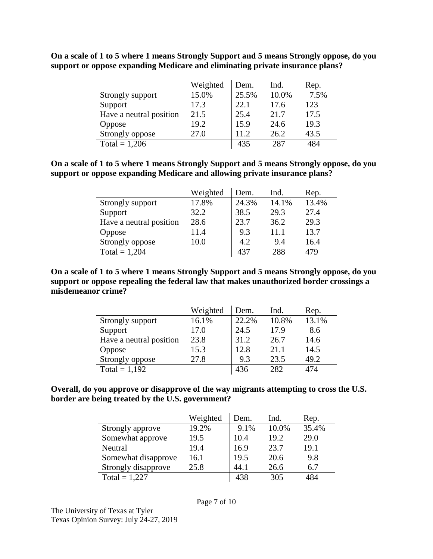|                         | Weighted | Dem.  | Ind.  | Rep. |
|-------------------------|----------|-------|-------|------|
| Strongly support        | 15.0%    | 25.5% | 10.0% | 7.5% |
| Support                 | 17.3     | 22.1  | 17.6  | 123  |
| Have a neutral position | 21.5     | 25.4  | 21.7  | 17.5 |
| Oppose                  | 19.2     | 15.9  | 24.6  | 19.3 |
| Strongly oppose         | 27.0     | 11.2  | 26.2  | 43.5 |
| Total = $1,206$         |          | 435   | 287   | 484  |

**On a scale of 1 to 5 where 1 means Strongly Support and 5 means Strongly oppose, do you support or oppose expanding Medicare and eliminating private insurance plans?**

**On a scale of 1 to 5 where 1 means Strongly Support and 5 means Strongly oppose, do you support or oppose expanding Medicare and allowing private insurance plans?**

|                         | Weighted | Dem.  | Ind.  | Rep.  |
|-------------------------|----------|-------|-------|-------|
| Strongly support        | 17.8%    | 24.3% | 14.1% | 13.4% |
| Support                 | 32.2     | 38.5  | 29.3  | 27.4  |
| Have a neutral position | 28.6     | 23.7  | 36.2  | 29.3  |
| Oppose                  | 11.4     | 9.3   | 11.1  | 13.7  |
| Strongly oppose         | 10.0     | 4.2   | 9.4   | 16.4  |
| Total = $1,204$         |          | 437   | 288   | 479   |

**On a scale of 1 to 5 where 1 means Strongly Support and 5 means Strongly oppose, do you support or oppose repealing the federal law that makes unauthorized border crossings a misdemeanor crime?**

|                         | Weighted | Dem.  | Ind.  | Rep.  |
|-------------------------|----------|-------|-------|-------|
| Strongly support        | 16.1%    | 22.2% | 10.8% | 13.1% |
| Support                 | 17.0     | 24.5  | 17.9  | 8.6   |
| Have a neutral position | 23.8     | 31.2  | 26.7  | 14.6  |
| Oppose                  | 15.3     | 12.8  | 21.1  | 14.5  |
| Strongly oppose         | 27.8     | 9.3   | 23.5  | 49.2  |
| Total = $1,192$         |          | 436   | 282   | 474   |

**Overall, do you approve or disapprove of the way migrants attempting to cross the U.S. border are being treated by the U.S. government?**

|                     | Weighted | Dem. | Ind.  | Rep.  |
|---------------------|----------|------|-------|-------|
| Strongly approve    | 19.2%    | 9.1% | 10.0% | 35.4% |
| Somewhat approve    | 19.5     | 10.4 | 19.2  | 29.0  |
| Neutral             | 19.4     | 16.9 | 23.7  | 19.1  |
| Somewhat disapprove | 16.1     | 19.5 | 20.6  | 9.8   |
| Strongly disapprove | 25.8     | 44.1 | 26.6  | 6.7   |
| Total = $1,227$     |          | 438  | 305   | 484   |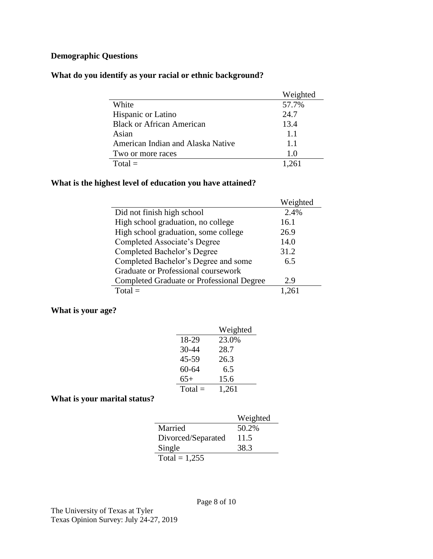# **Demographic Questions**

## **What do you identify as your racial or ethnic background?**

|                                   | Weighted |
|-----------------------------------|----------|
| White                             | 57.7%    |
| Hispanic or Latino                | 24.7     |
| <b>Black or African American</b>  | 13.4     |
| Asian                             | 1.1      |
| American Indian and Alaska Native | 1.1      |
| Two or more races                 | 1.0      |
| $Total =$                         | 1 261    |

### **What is the highest level of education you have attained?**

|                                                  | Weighted |
|--------------------------------------------------|----------|
| Did not finish high school                       | 2.4%     |
| High school graduation, no college               | 16.1     |
| High school graduation, some college             | 26.9     |
| Completed Associate's Degree                     | 14.0     |
| Completed Bachelor's Degree                      | 31.2     |
| Completed Bachelor's Degree and some             | 6.5      |
| Graduate or Professional coursework              |          |
| <b>Completed Graduate or Professional Degree</b> | 2.9      |
| $Total =$                                        |          |

### **What is your age?**

|           | Weighted |
|-----------|----------|
| 18-29     | 23.0%    |
| 30-44     | 28.7     |
| 45-59     | 26.3     |
| $60 - 64$ | 6.5      |
| $65+$     | 15.6     |
| $Total =$ | 1,261    |

### **What is your marital status?**

|                    | Weighted |
|--------------------|----------|
| Married            | 50.2%    |
| Divorced/Separated | 11.5     |
| Single             | 38.3     |
| Total = $1,255$    |          |

Page 8 of 10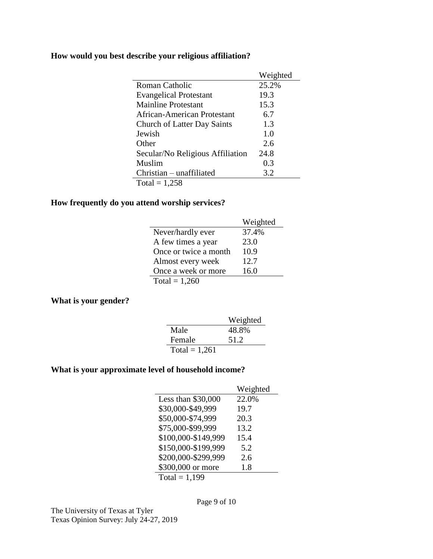## **How would you best describe your religious affiliation?**

|                                    | Weighted       |
|------------------------------------|----------------|
| Roman Catholic                     | 25.2%          |
| <b>Evangelical Protestant</b>      | 19.3           |
| Mainline Protestant                | 15.3           |
| African-American Protestant        | 6.7            |
| <b>Church of Latter Day Saints</b> | 1.3            |
| Jewish                             | 1 <sub>0</sub> |
| Other                              | 2.6            |
| Secular/No Religious Affiliation   | 24.8           |
| Muslim                             | 0.3            |
| Christian – unaffiliated           | 3.2            |
| Total = $1,258$                    |                |

### **How frequently do you attend worship services?**

|                       | Weighted |
|-----------------------|----------|
| Never/hardly ever     | 37.4%    |
| A few times a year    | 23.0     |
| Once or twice a month | 10.9     |
| Almost every week     | 12.7     |
| Once a week or more   | 16.0     |
| Total = $1,260$       |          |

### **What is your gender?**

|                 | Weighted |
|-----------------|----------|
| Male            | 48.8%    |
| Female          | 51.2     |
| Total = $1,261$ |          |

# **What is your approximate level of household income?**

|                     | Weighted |
|---------------------|----------|
| Less than \$30,000  | 22.0%    |
| \$30,000-\$49,999   | 19.7     |
| \$50,000-\$74,999   | 20.3     |
| \$75,000-\$99,999   | 13.2     |
| \$100,000-\$149,999 | 15.4     |
| \$150,000-\$199,999 | 5.2      |
| \$200,000-\$299,999 | 2.6      |
| \$300,000 or more   | 1.8      |
| Total = $1,199$     |          |